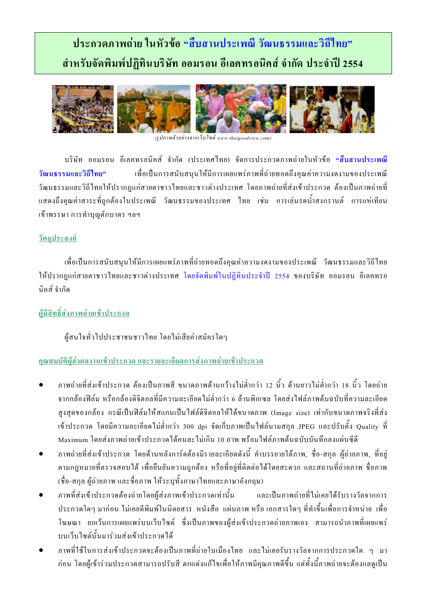# ประกวดภาพถ่าย ในหัวข้อ "สืบสานประเพณี วัฒนธรรมและวิถีไทย" ้สำหรับจัดพิมพ์ปฏิทินบริษัท ออมรอน อีเลคทรอนิคส์ จำกัด ประจำปี 2554



(รูปภาพตัวอย่างจากเว็บไซด์ www.thaigoodview.com)

ึบริษัท ออมรอน อีเลคทรอนิคส์ จำกัด (ประเทศไทย) จัดการประกวดภาพถ่ายในหัวข้อ "สืบสานประเพณี ้ เพื่อเป็นการสนับสนนให้มีการเผยแพร่ภาพที่ถ่ายทอดถึงคณค่าความงดงามของประเพณี วัฒนธรรมและวิถีไทย" วัฒนธรรมและวิถีไทยให้ปรากฏแก่สายตาชาวไทยและชาวต่างประเทศ โดยภาพถ่ายที่ส่งเข้าประกวด ต้องเป็นภาพถ่ายที่ แสดงถึงคุณค่าสาระที่ถูกด้องในประเพณี วัฒนธรรมของประเทศ ไทย เช่น การเล่นรดน้ำสงกรานต์ การแห่เทียน เข้าพรรษา การทำบุญตักบาตร ฯลฯ

#### <u>วัตถุประสงค์</u>

เพื่อเป็นการสนับสนุนให้มีการเผยแพร่ภาพที่ถ่ายทอดถึงคุณค่าความงดงามของประเพณี วัฒนธรรมและวิถีไทย ให้ปรากฏแก่สายตาชาวไทยและชาวต่างประเทศ โดยจัดพิมพ์ในปฏิทินประจำปี 2554 ของบริษัท ออมรอน อีเลคทรอ บิคส์ จำกัด

## ผู้มีสิทธิ์ส่งภาพถ่ายเข้าประกวด

ผู้สนใจทั่วไปประชาชนชาวไทย โดยไม่เสียค่าสมัครใดๆ

## ึ คณสมบัติผู้ส่งผลงานเข้าประกวด และรายละเอียดการส่งภาพถ่ายเข้าประกวด

- ิภาพถ่ายที่ส่งเข้าประกวด ต้องเป็นภาพสี ขนาดภาพด้านกว้างไม่ต่ำกว่า 12 นิ้ว ด้านยาวไม่ต่ำกว่า 18 นิ้ว โดยถ่าย จากกล้องฟิล์ม หรือกล้องดิจิตอลที่มีความละเอียดไม่ต่ำกว่า 6 ล้านพิกเซล โดยส่งไฟล์ภาพต้นฉบับที่ความละเอียด สูงสุดของกล้อง กรณีเป็นฟิล์มให้สแกนเป็นไฟล์ดิจิตอลให้ได้ขนาดภาพ (Image size) เท่ากับขนาดภาพจริงที่ส่ง ี่ เข้าประกวด โดยมีความละเอียดไม่ต่ำกว่า 300 dpi จัดเก็บภาพเป็นไฟล์นามสกุล JPEG และปรับตั้ง Quality ที่ Maximum โดยส่งภาพถ่ายเข้าประกวดใด้คนละไม่เกิน 10 ภาพ พร้อมไฟล์ภาพต้นฉบับบันทึกลงแผ่นซีดี
- ึภาพถ่ายที่ส่งเข้าประกวด โดยด้านหลังการ์ดต้องมีรายละเอียดดังนี้ คำบรรยายใต้ภาพ, ชื่อ-สกุล ผู้ถ่ายภาพ, ที่อยู่ ตามกฎหมายที่ตรวจสอบใด้ เพื่อยืนยันความถูกต้อง หรือที่อยู่ที่ติดต่อใด้โดยสะควก และสถานที่ถ่ายภาพ ชื่อภาพ (ชื่อ-สกุล ผู้ถ่ายภาพ และชื่อภาพ ให้ระบุทั้งภาษาไทยและภาษาอังกฤษ)
- ึภาพที่ส่งเข้าประกวดต้องถ่ายโดยผ้ส่งภาพเข้าประกวดเท่านั้น และเป็นภาพถ่ายที่ไม่เคยได้รับรางวัลจากการ ี ประกวดใดๆ มาก่อน ไม่เกยตีพิมพ์ในนิตยสาร หนังสือ แผ่นภาพ หรือ เอกสารใดๆ ที่ทำขึ้นเพื่อการจำหน่าย เพื่อ โฆษณา ยกเว้นการเผยแพร่บนเว็บไซต์ ซึ่งเป็นภาพของผู้ส่งเข้าประกวดถ่ายภาพเอง สามารถนำภาพที่เผยแพร่ บนเว็บไซต์นั้นมาร่วมส่งเข้าประกวดได้
- ภาพที่ใช้ในการส่งเข้าประกวดจะต้องเป็นภาพที่ถ่ายในเมืองไทย และไม่เคยรับรางวัลจากการประกวดใด ๆ มา ้ก่อน โดยผู้เข้าร่วมประกวดสามารถปรับสี ตกแต่งแก้ไขเพื่อให้ภาพมีคุณภาพดีขึ้น แต่ทั้งนี้ภาพถ่ายจะต้องแลดูเป็น